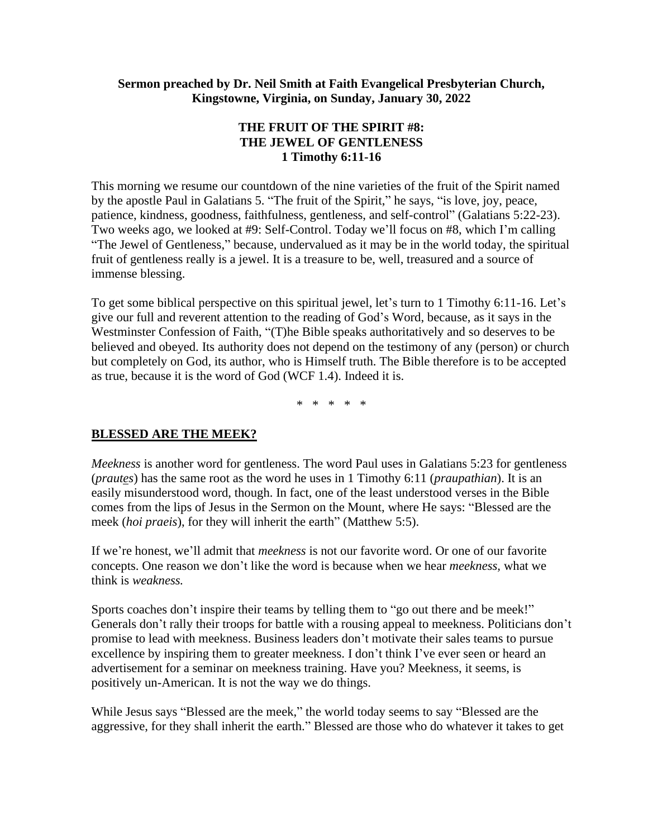#### **Sermon preached by Dr. Neil Smith at Faith Evangelical Presbyterian Church, Kingstowne, Virginia, on Sunday, January 30, 2022**

### **THE FRUIT OF THE SPIRIT #8: THE JEWEL OF GENTLENESS 1 Timothy 6:11-16**

This morning we resume our countdown of the nine varieties of the fruit of the Spirit named by the apostle Paul in Galatians 5. "The fruit of the Spirit," he says, "is love, joy, peace, patience, kindness, goodness, faithfulness, gentleness, and self-control" (Galatians 5:22-23). Two weeks ago, we looked at #9: Self-Control. Today we'll focus on #8, which I'm calling "The Jewel of Gentleness," because, undervalued as it may be in the world today, the spiritual fruit of gentleness really is a jewel. It is a treasure to be, well, treasured and a source of immense blessing.

To get some biblical perspective on this spiritual jewel, let's turn to 1 Timothy 6:11-16. Let's give our full and reverent attention to the reading of God's Word, because, as it says in the Westminster Confession of Faith, "(T)he Bible speaks authoritatively and so deserves to be believed and obeyed. Its authority does not depend on the testimony of any (person) or church but completely on God, its author, who is Himself truth. The Bible therefore is to be accepted as true, because it is the word of God (WCF 1.4). Indeed it is.

\* \* \* \* \*

#### **BLESSED ARE THE MEEK?**

*Meekness* is another word for gentleness. The word Paul uses in Galatians 5:23 for gentleness (*prautes*) has the same root as the word he uses in 1 Timothy 6:11 (*praupathian*). It is an easily misunderstood word, though. In fact, one of the least understood verses in the Bible comes from the lips of Jesus in the Sermon on the Mount, where He says: "Blessed are the meek (*hoi praeis*), for they will inherit the earth" (Matthew 5:5).

If we're honest, we'll admit that *meekness* is not our favorite word. Or one of our favorite concepts. One reason we don't like the word is because when we hear *meekness,* what we think is *weakness.* 

Sports coaches don't inspire their teams by telling them to "go out there and be meek!" Generals don't rally their troops for battle with a rousing appeal to meekness. Politicians don't promise to lead with meekness. Business leaders don't motivate their sales teams to pursue excellence by inspiring them to greater meekness. I don't think I've ever seen or heard an advertisement for a seminar on meekness training. Have you? Meekness, it seems, is positively un-American. It is not the way we do things.

While Jesus says "Blessed are the meek," the world today seems to say "Blessed are the aggressive, for they shall inherit the earth." Blessed are those who do whatever it takes to get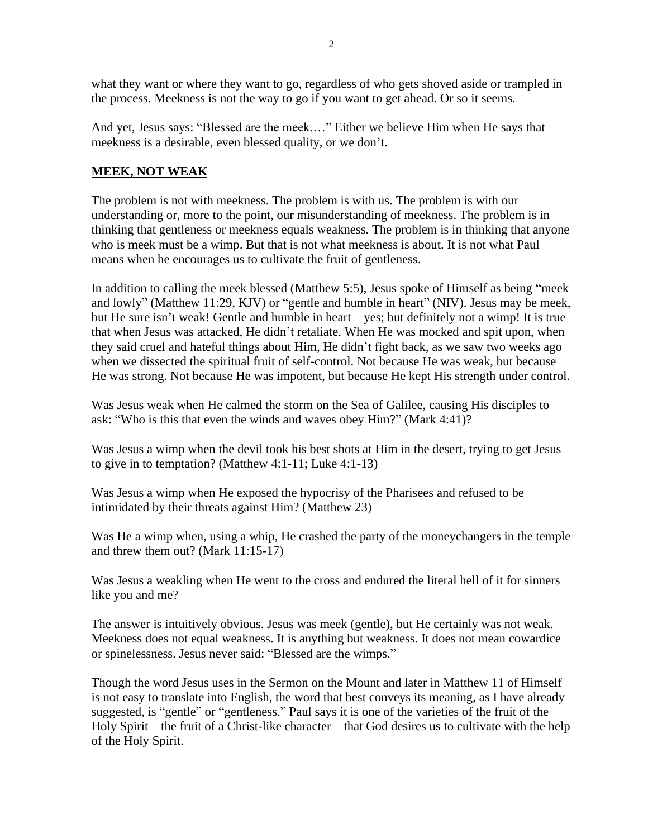what they want or where they want to go, regardless of who gets shoved aside or trampled in the process. Meekness is not the way to go if you want to get ahead. Or so it seems.

And yet, Jesus says: "Blessed are the meek.…" Either we believe Him when He says that meekness is a desirable, even blessed quality, or we don't.

## **MEEK, NOT WEAK**

The problem is not with meekness. The problem is with us. The problem is with our understanding or, more to the point, our misunderstanding of meekness. The problem is in thinking that gentleness or meekness equals weakness. The problem is in thinking that anyone who is meek must be a wimp. But that is not what meekness is about. It is not what Paul means when he encourages us to cultivate the fruit of gentleness.

In addition to calling the meek blessed (Matthew 5:5), Jesus spoke of Himself as being "meek and lowly" (Matthew 11:29, KJV) or "gentle and humble in heart" (NIV). Jesus may be meek, but He sure isn't weak! Gentle and humble in heart – yes; but definitely not a wimp! It is true that when Jesus was attacked, He didn't retaliate. When He was mocked and spit upon, when they said cruel and hateful things about Him, He didn't fight back, as we saw two weeks ago when we dissected the spiritual fruit of self-control. Not because He was weak, but because He was strong. Not because He was impotent, but because He kept His strength under control.

Was Jesus weak when He calmed the storm on the Sea of Galilee, causing His disciples to ask: "Who is this that even the winds and waves obey Him?" (Mark 4:41)?

Was Jesus a wimp when the devil took his best shots at Him in the desert, trying to get Jesus to give in to temptation? (Matthew 4:1-11; Luke 4:1-13)

Was Jesus a wimp when He exposed the hypocrisy of the Pharisees and refused to be intimidated by their threats against Him? (Matthew 23)

Was He a wimp when, using a whip, He crashed the party of the moneychangers in the temple and threw them out? (Mark 11:15-17)

Was Jesus a weakling when He went to the cross and endured the literal hell of it for sinners like you and me?

The answer is intuitively obvious. Jesus was meek (gentle), but He certainly was not weak. Meekness does not equal weakness. It is anything but weakness. It does not mean cowardice or spinelessness. Jesus never said: "Blessed are the wimps."

Though the word Jesus uses in the Sermon on the Mount and later in Matthew 11 of Himself is not easy to translate into English, the word that best conveys its meaning, as I have already suggested, is "gentle" or "gentleness." Paul says it is one of the varieties of the fruit of the Holy Spirit – the fruit of a Christ-like character – that God desires us to cultivate with the help of the Holy Spirit.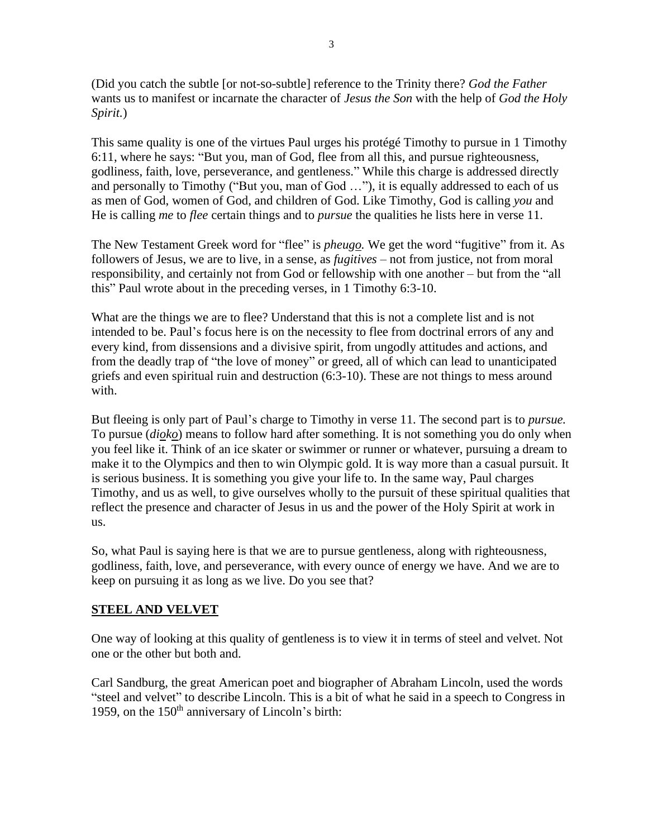(Did you catch the subtle [or not-so-subtle] reference to the Trinity there? *God the Father*  wants us to manifest or incarnate the character of *Jesus the Son* with the help of *God the Holy Spirit.*)

This same quality is one of the virtues Paul urges his protégé Timothy to pursue in 1 Timothy 6:11, where he says: "But you, man of God, flee from all this, and pursue righteousness, godliness, faith, love, perseverance, and gentleness." While this charge is addressed directly and personally to Timothy ("But you, man of God …"), it is equally addressed to each of us as men of God, women of God, and children of God. Like Timothy, God is calling *you* and He is calling *me* to *flee* certain things and to *pursue* the qualities he lists here in verse 11.

The New Testament Greek word for "flee" is *pheugo.* We get the word "fugitive" from it. As followers of Jesus, we are to live, in a sense, as *fugitives* – not from justice, not from moral responsibility, and certainly not from God or fellowship with one another – but from the "all this" Paul wrote about in the preceding verses, in 1 Timothy 6:3-10.

What are the things we are to flee? Understand that this is not a complete list and is not intended to be. Paul's focus here is on the necessity to flee from doctrinal errors of any and every kind, from dissensions and a divisive spirit, from ungodly attitudes and actions, and from the deadly trap of "the love of money" or greed, all of which can lead to unanticipated griefs and even spiritual ruin and destruction (6:3-10). These are not things to mess around with.

But fleeing is only part of Paul's charge to Timothy in verse 11. The second part is to *pursue.*  To pursue (*dioko*) means to follow hard after something. It is not something you do only when you feel like it. Think of an ice skater or swimmer or runner or whatever, pursuing a dream to make it to the Olympics and then to win Olympic gold. It is way more than a casual pursuit. It is serious business. It is something you give your life to. In the same way, Paul charges Timothy, and us as well, to give ourselves wholly to the pursuit of these spiritual qualities that reflect the presence and character of Jesus in us and the power of the Holy Spirit at work in us.

So, what Paul is saying here is that we are to pursue gentleness, along with righteousness, godliness, faith, love, and perseverance, with every ounce of energy we have. And we are to keep on pursuing it as long as we live. Do you see that?

## **STEEL AND VELVET**

One way of looking at this quality of gentleness is to view it in terms of steel and velvet. Not one or the other but both and.

Carl Sandburg, the great American poet and biographer of Abraham Lincoln, used the words "steel and velvet" to describe Lincoln. This is a bit of what he said in a speech to Congress in 1959, on the  $150<sup>th</sup>$  anniversary of Lincoln's birth: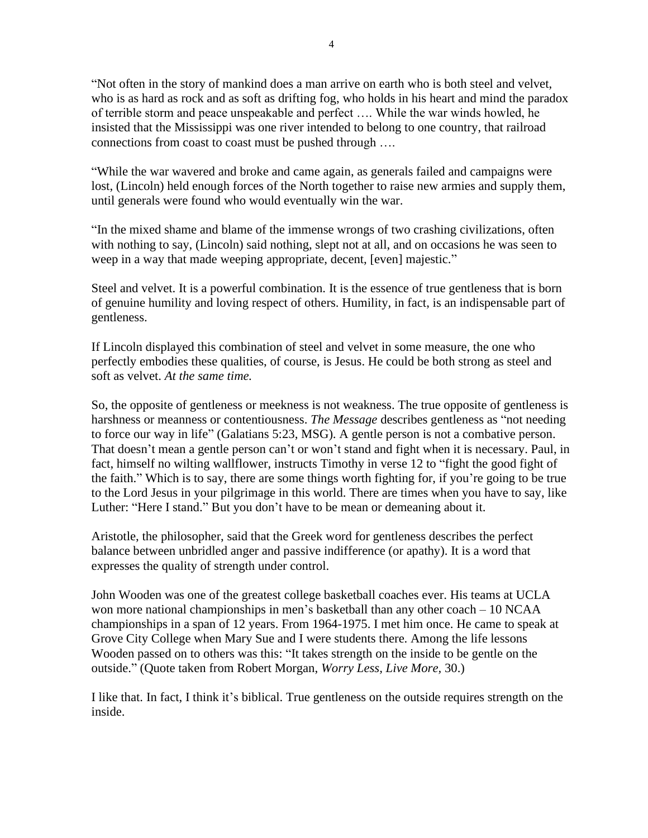"Not often in the story of mankind does a man arrive on earth who is both steel and velvet, who is as hard as rock and as soft as drifting fog, who holds in his heart and mind the paradox of terrible storm and peace unspeakable and perfect …. While the war winds howled, he insisted that the Mississippi was one river intended to belong to one country, that railroad connections from coast to coast must be pushed through ….

"While the war wavered and broke and came again, as generals failed and campaigns were lost, (Lincoln) held enough forces of the North together to raise new armies and supply them, until generals were found who would eventually win the war.

"In the mixed shame and blame of the immense wrongs of two crashing civilizations, often with nothing to say, (Lincoln) said nothing, slept not at all, and on occasions he was seen to weep in a way that made weeping appropriate, decent, [even] majestic."

Steel and velvet. It is a powerful combination. It is the essence of true gentleness that is born of genuine humility and loving respect of others. Humility, in fact, is an indispensable part of gentleness.

If Lincoln displayed this combination of steel and velvet in some measure, the one who perfectly embodies these qualities, of course, is Jesus. He could be both strong as steel and soft as velvet. *At the same time.*

So, the opposite of gentleness or meekness is not weakness. The true opposite of gentleness is harshness or meanness or contentiousness. *The Message* describes gentleness as "not needing to force our way in life" (Galatians 5:23, MSG). A gentle person is not a combative person. That doesn't mean a gentle person can't or won't stand and fight when it is necessary. Paul, in fact, himself no wilting wallflower, instructs Timothy in verse 12 to "fight the good fight of the faith." Which is to say, there are some things worth fighting for, if you're going to be true to the Lord Jesus in your pilgrimage in this world. There are times when you have to say, like Luther: "Here I stand." But you don't have to be mean or demeaning about it.

Aristotle, the philosopher, said that the Greek word for gentleness describes the perfect balance between unbridled anger and passive indifference (or apathy). It is a word that expresses the quality of strength under control.

John Wooden was one of the greatest college basketball coaches ever. His teams at UCLA won more national championships in men's basketball than any other coach – 10 NCAA championships in a span of 12 years. From 1964-1975. I met him once. He came to speak at Grove City College when Mary Sue and I were students there. Among the life lessons Wooden passed on to others was this: "It takes strength on the inside to be gentle on the outside." (Quote taken from Robert Morgan, *Worry Less, Live More,* 30.)

I like that. In fact, I think it's biblical. True gentleness on the outside requires strength on the inside.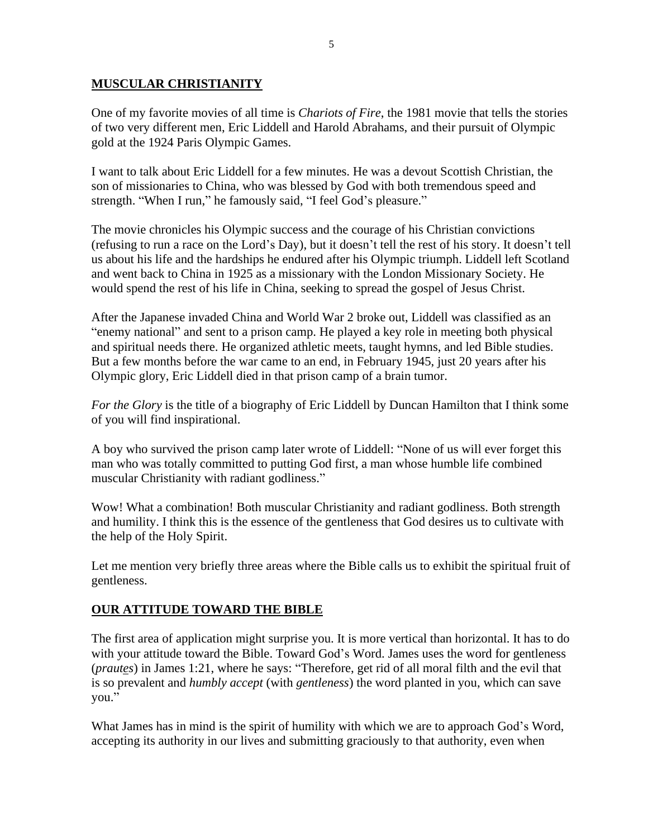### **MUSCULAR CHRISTIANITY**

One of my favorite movies of all time is *Chariots of Fire*, the 1981 movie that tells the stories of two very different men, Eric Liddell and Harold Abrahams, and their pursuit of Olympic gold at the 1924 Paris Olympic Games.

I want to talk about Eric Liddell for a few minutes. He was a devout Scottish Christian, the son of missionaries to China, who was blessed by God with both tremendous speed and strength. "When I run," he famously said, "I feel God's pleasure."

The movie chronicles his Olympic success and the courage of his Christian convictions (refusing to run a race on the Lord's Day), but it doesn't tell the rest of his story. It doesn't tell us about his life and the hardships he endured after his Olympic triumph. Liddell left Scotland and went back to China in 1925 as a missionary with the London Missionary Society. He would spend the rest of his life in China, seeking to spread the gospel of Jesus Christ.

After the Japanese invaded China and World War 2 broke out, Liddell was classified as an "enemy national" and sent to a prison camp. He played a key role in meeting both physical and spiritual needs there. He organized athletic meets, taught hymns, and led Bible studies. But a few months before the war came to an end, in February 1945, just 20 years after his Olympic glory, Eric Liddell died in that prison camp of a brain tumor.

*For the Glory* is the title of a biography of Eric Liddell by Duncan Hamilton that I think some of you will find inspirational.

A boy who survived the prison camp later wrote of Liddell: "None of us will ever forget this man who was totally committed to putting God first, a man whose humble life combined muscular Christianity with radiant godliness."

Wow! What a combination! Both muscular Christianity and radiant godliness. Both strength and humility. I think this is the essence of the gentleness that God desires us to cultivate with the help of the Holy Spirit.

Let me mention very briefly three areas where the Bible calls us to exhibit the spiritual fruit of gentleness.

## **OUR ATTITUDE TOWARD THE BIBLE**

The first area of application might surprise you. It is more vertical than horizontal. It has to do with your attitude toward the Bible. Toward God's Word. James uses the word for gentleness (*prautes*) in James 1:21, where he says: "Therefore, get rid of all moral filth and the evil that is so prevalent and *humbly accept* (with *gentleness*) the word planted in you, which can save you."

What James has in mind is the spirit of humility with which we are to approach God's Word, accepting its authority in our lives and submitting graciously to that authority, even when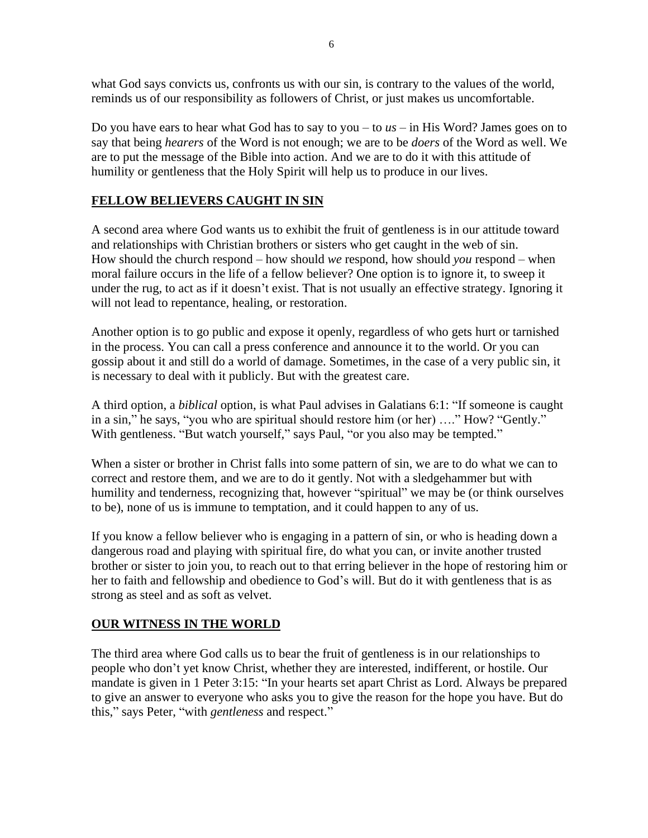what God says convicts us, confronts us with our sin, is contrary to the values of the world, reminds us of our responsibility as followers of Christ, or just makes us uncomfortable.

Do you have ears to hear what God has to say to you – to *us* – in His Word? James goes on to say that being *hearers* of the Word is not enough; we are to be *doers* of the Word as well. We are to put the message of the Bible into action. And we are to do it with this attitude of humility or gentleness that the Holy Spirit will help us to produce in our lives.

# **FELLOW BELIEVERS CAUGHT IN SIN**

A second area where God wants us to exhibit the fruit of gentleness is in our attitude toward and relationships with Christian brothers or sisters who get caught in the web of sin. How should the church respond – how should *we* respond, how should *you* respond – when moral failure occurs in the life of a fellow believer? One option is to ignore it, to sweep it under the rug, to act as if it doesn't exist. That is not usually an effective strategy. Ignoring it will not lead to repentance, healing, or restoration.

Another option is to go public and expose it openly, regardless of who gets hurt or tarnished in the process. You can call a press conference and announce it to the world. Or you can gossip about it and still do a world of damage. Sometimes, in the case of a very public sin, it is necessary to deal with it publicly. But with the greatest care.

A third option, a *biblical* option, is what Paul advises in Galatians 6:1: "If someone is caught in a sin," he says, "you who are spiritual should restore him (or her) …." How? "Gently." With gentleness. "But watch yourself," says Paul, "or you also may be tempted."

When a sister or brother in Christ falls into some pattern of sin, we are to do what we can to correct and restore them, and we are to do it gently. Not with a sledgehammer but with humility and tenderness, recognizing that, however "spiritual" we may be (or think ourselves to be), none of us is immune to temptation, and it could happen to any of us.

If you know a fellow believer who is engaging in a pattern of sin, or who is heading down a dangerous road and playing with spiritual fire, do what you can, or invite another trusted brother or sister to join you, to reach out to that erring believer in the hope of restoring him or her to faith and fellowship and obedience to God's will. But do it with gentleness that is as strong as steel and as soft as velvet.

## **OUR WITNESS IN THE WORLD**

The third area where God calls us to bear the fruit of gentleness is in our relationships to people who don't yet know Christ, whether they are interested, indifferent, or hostile. Our mandate is given in 1 Peter 3:15: "In your hearts set apart Christ as Lord. Always be prepared to give an answer to everyone who asks you to give the reason for the hope you have. But do this," says Peter, "with *gentleness* and respect."